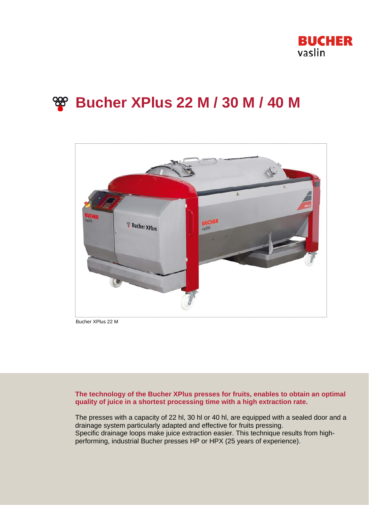

# **Bucher XPlus 22 M / 30 M / 40 M**



Bucher XPlus 22 M

## **The technology of the Bucher XPlus presses for fruits, enables to obtain an optimal quality of juice in a shortest processing time with a high extraction rate.**

The presses with a capacity of 22 hl, 30 hl or 40 hl, are equipped with a sealed door and a drainage system particularly adapted and effective for fruits pressing. Specific drainage loops make juice extraction easier. This technique results from highperforming, industrial Bucher presses HP or HPX (25 years of experience).